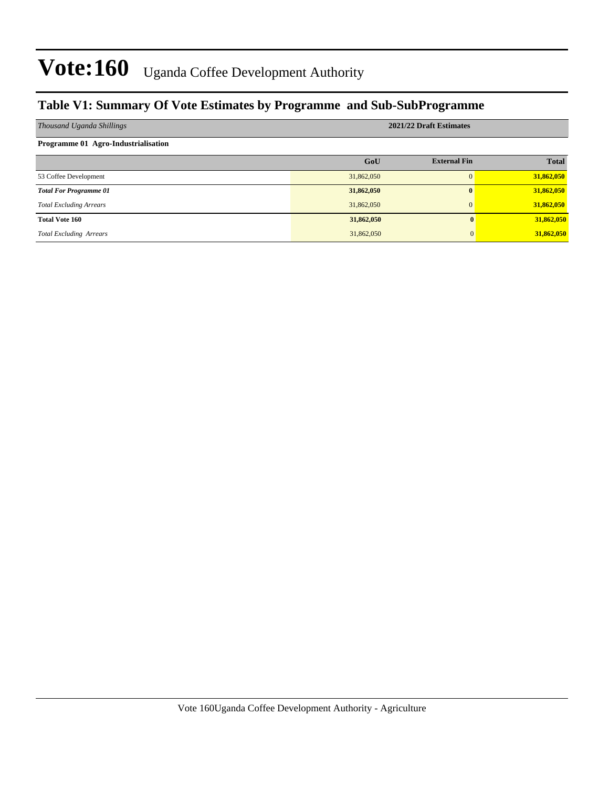### **Table V1: Summary Of Vote Estimates by Programme and Sub-SubProgramme**

| Thousand Uganda Shillings           | 2021/22 Draft Estimates |                     |              |  |  |  |
|-------------------------------------|-------------------------|---------------------|--------------|--|--|--|
| Programme 01 Agro-Industrialisation |                         |                     |              |  |  |  |
|                                     | GoU                     | <b>External Fin</b> | <b>Total</b> |  |  |  |
| 53 Coffee Development               | 31,862,050              | $\Omega$            | 31,862,050   |  |  |  |
| <b>Total For Programme 01</b>       | 31,862,050              | $\mathbf{0}$        | 31,862,050   |  |  |  |
| <b>Total Excluding Arrears</b>      | 31,862,050              | $\Omega$            | 31,862,050   |  |  |  |
| <b>Total Vote 160</b>               | 31,862,050              |                     | 31,862,050   |  |  |  |
| <b>Total Excluding Arrears</b>      | 31,862,050              |                     | 31,862,050   |  |  |  |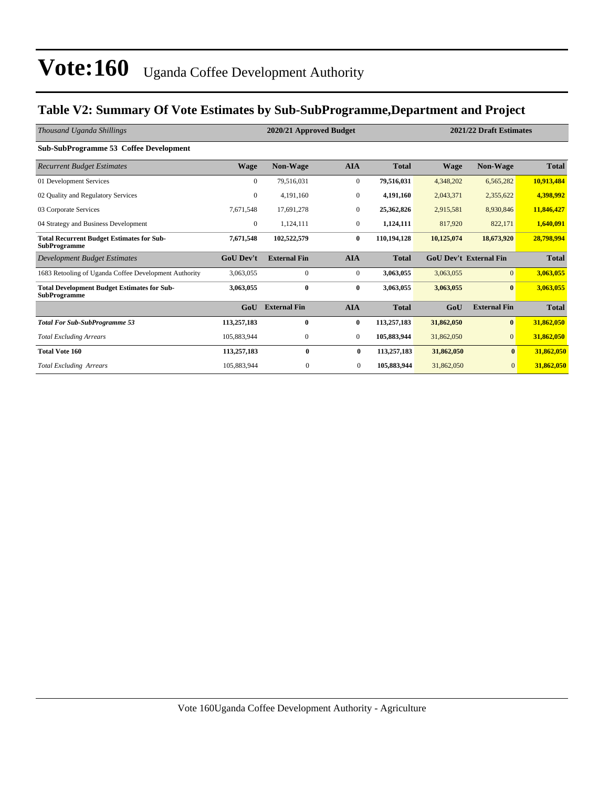### **Table V2: Summary Of Vote Estimates by Sub-SubProgramme,Department and Project**

| Thousand Uganda Shillings                                                 |                  | 2020/21 Approved Budget |                  | 2021/22 Draft Estimates |                               |                     |              |
|---------------------------------------------------------------------------|------------------|-------------------------|------------------|-------------------------|-------------------------------|---------------------|--------------|
| Sub-SubProgramme 53 Coffee Development                                    |                  |                         |                  |                         |                               |                     |              |
| <b>Recurrent Budget Estimates</b>                                         | <b>Wage</b>      | <b>Non-Wage</b>         | <b>AIA</b>       | <b>Total</b>            | <b>Wage</b>                   | <b>Non-Wage</b>     | <b>Total</b> |
| 01 Development Services                                                   | $\overline{0}$   | 79,516,031              | $\bf{0}$         | 79,516,031              | 4,348,202                     | 6,565,282           | 10,913,484   |
| 02 Quality and Regulatory Services                                        | $\boldsymbol{0}$ | 4,191,160               | $\mathbf{0}$     | 4,191,160               | 2,043,371                     | 2,355,622           | 4,398,992    |
| 03 Corporate Services                                                     | 7,671,548        | 17,691,278              | $\mathbf{0}$     | 25,362,826              | 2,915,581                     | 8,930,846           | 11,846,427   |
| 04 Strategy and Business Development                                      | $\overline{0}$   | 1,124,111               | $\overline{0}$   | 1,124,111               | 817,920                       | 822,171             | 1,640,091    |
| <b>Total Recurrent Budget Estimates for Sub-</b><br><b>SubProgramme</b>   | 7,671,548        | 102,522,579             | $\bf{0}$         | 110,194,128             | 10,125,074                    | 18,673,920          | 28,798,994   |
| Development Budget Estimates                                              | <b>GoU</b> Dev't | <b>External Fin</b>     | <b>AIA</b>       | <b>Total</b>            | <b>GoU Dev't External Fin</b> |                     | <b>Total</b> |
| 1683 Retooling of Uganda Coffee Development Authority                     | 3,063,055        | $\mathbf{0}$            | $\boldsymbol{0}$ | 3,063,055               | 3,063,055                     | $\overline{0}$      | 3,063,055    |
| <b>Total Development Budget Estimates for Sub-</b><br><b>SubProgramme</b> | 3,063,055        | $\bf{0}$                | $\bf{0}$         | 3,063,055               | 3,063,055                     | $\bf{0}$            | 3,063,055    |
|                                                                           | GoU              | <b>External Fin</b>     | <b>AIA</b>       | <b>Total</b>            | GoU                           | <b>External Fin</b> | <b>Total</b> |
| <b>Total For Sub-SubProgramme 53</b>                                      | 113,257,183      | $\bf{0}$                | $\bf{0}$         | 113,257,183             | 31,862,050                    | $\bf{0}$            | 31,862,050   |
| <b>Total Excluding Arrears</b>                                            | 105,883,944      | $\mathbf{0}$            | $\overline{0}$   | 105,883,944             | 31,862,050                    | $\overline{0}$      | 31,862,050   |
| <b>Total Vote 160</b>                                                     | 113,257,183      | $\bf{0}$                | $\bf{0}$         | 113,257,183             | 31,862,050                    | $\bf{0}$            | 31,862,050   |
| <b>Total Excluding Arrears</b>                                            | 105,883,944      | $\mathbf{0}$            | $\mathbf{0}$     | 105,883,944             | 31,862,050                    | $\overline{0}$      | 31,862,050   |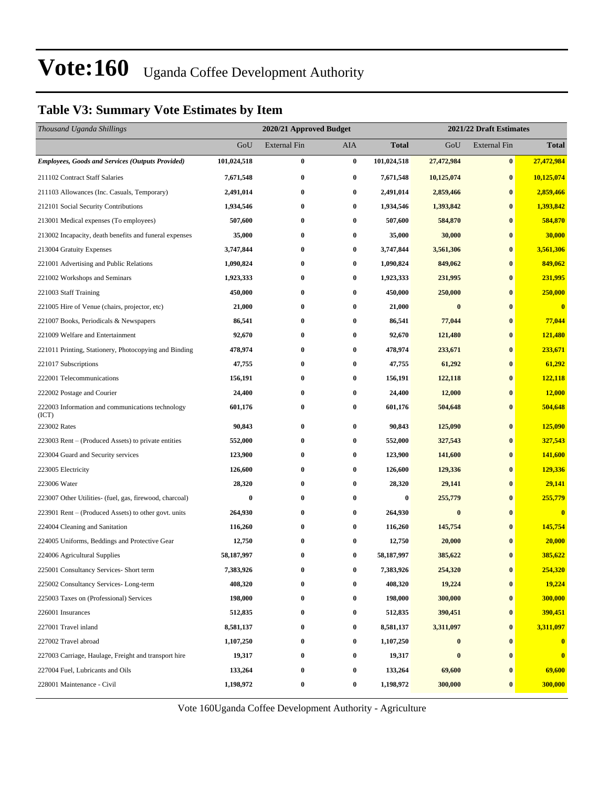### **Table V3: Summary Vote Estimates by Item**

| Thousand Uganda Shillings                                 |             | 2020/21 Approved Budget |                  |             | 2021/22 Draft Estimates |                     |                         |  |
|-----------------------------------------------------------|-------------|-------------------------|------------------|-------------|-------------------------|---------------------|-------------------------|--|
|                                                           | GoU         | <b>External Fin</b>     | AIA              | Total       | GoU                     | <b>External Fin</b> | <b>Total</b>            |  |
| <b>Employees, Goods and Services (Outputs Provided)</b>   | 101,024,518 | $\bf{0}$                | $\bf{0}$         | 101,024,518 | 27,472,984              | $\bf{0}$            | 27,472,984              |  |
| 211102 Contract Staff Salaries                            | 7,671,548   | $\bf{0}$                | $\bf{0}$         | 7,671,548   | 10,125,074              | $\bf{0}$            | 10,125,074              |  |
| 211103 Allowances (Inc. Casuals, Temporary)               | 2,491,014   | $\bf{0}$                | 0                | 2,491,014   | 2,859,466               | $\bf{0}$            | 2,859,466               |  |
| 212101 Social Security Contributions                      | 1,934,546   | $\bf{0}$                | $\bf{0}$         | 1,934,546   | 1,393,842               | $\bf{0}$            | 1,393,842               |  |
| 213001 Medical expenses (To employees)                    | 507,600     | $\bf{0}$                | $\bf{0}$         | 507,600     | 584,870                 | $\bf{0}$            | 584,870                 |  |
| 213002 Incapacity, death benefits and funeral expenses    | 35,000      | $\bf{0}$                | $\bf{0}$         | 35,000      | 30,000                  | $\bf{0}$            | 30,000                  |  |
| 213004 Gratuity Expenses                                  | 3,747,844   | $\bf{0}$                | $\bf{0}$         | 3,747,844   | 3,561,306               | $\bf{0}$            | 3,561,306               |  |
| 221001 Advertising and Public Relations                   | 1,090,824   | $\bf{0}$                | $\bf{0}$         | 1,090,824   | 849,062                 | $\bf{0}$            | 849,062                 |  |
| 221002 Workshops and Seminars                             | 1,923,333   | $\bf{0}$                | $\bf{0}$         | 1,923,333   | 231,995                 | $\bf{0}$            | 231,995                 |  |
| 221003 Staff Training                                     | 450,000     | $\bf{0}$                | $\bf{0}$         | 450,000     | 250,000                 | $\bf{0}$            | 250,000                 |  |
| 221005 Hire of Venue (chairs, projector, etc)             | 21,000      | $\bf{0}$                | $\bf{0}$         | 21,000      | $\bf{0}$                | $\bf{0}$            | $\overline{\mathbf{0}}$ |  |
| 221007 Books, Periodicals & Newspapers                    | 86,541      | $\bf{0}$                | $\bf{0}$         | 86,541      | 77,044                  | $\bf{0}$            | 77,044                  |  |
| 221009 Welfare and Entertainment                          | 92,670      | $\bf{0}$                | $\bf{0}$         | 92,670      | 121,480                 | $\bf{0}$            | 121,480                 |  |
| 221011 Printing, Stationery, Photocopying and Binding     | 478,974     | $\bf{0}$                | $\bf{0}$         | 478,974     | 233,671                 | $\bf{0}$            | 233,671                 |  |
| 221017 Subscriptions                                      | 47,755      | $\bf{0}$                | $\bf{0}$         | 47,755      | 61,292                  | $\bf{0}$            | 61,292                  |  |
| 222001 Telecommunications                                 | 156,191     | $\bf{0}$                | $\bf{0}$         | 156,191     | 122,118                 | $\bf{0}$            | 122,118                 |  |
| 222002 Postage and Courier                                | 24,400      | $\bf{0}$                | $\bf{0}$         | 24,400      | 12,000                  | $\bf{0}$            | 12,000                  |  |
| 222003 Information and communications technology<br>(ICT) | 601,176     | $\bf{0}$                | $\bf{0}$         | 601,176     | 504,648                 | $\bf{0}$            | 504,648                 |  |
| 223002 Rates                                              | 90,843      | $\bf{0}$                | $\bf{0}$         | 90,843      | 125,090                 | $\bf{0}$            | 125,090                 |  |
| 223003 Rent – (Produced Assets) to private entities       | 552,000     | $\bf{0}$                | $\bf{0}$         | 552,000     | 327,543                 | $\bf{0}$            | 327,543                 |  |
| 223004 Guard and Security services                        | 123,900     | $\bf{0}$                | $\bf{0}$         | 123,900     | 141,600                 | $\bf{0}$            | 141,600                 |  |
| 223005 Electricity                                        | 126,600     | $\bf{0}$                | $\bf{0}$         | 126,600     | 129,336                 | $\bf{0}$            | 129,336                 |  |
| 223006 Water                                              | 28,320      | $\bf{0}$                | $\bf{0}$         | 28,320      | 29,141                  | $\bf{0}$            | 29,141                  |  |
| 223007 Other Utilities- (fuel, gas, firewood, charcoal)   | $\bf{0}$    | $\bf{0}$                | $\bf{0}$         | 0           | 255,779                 | $\bf{0}$            | 255,779                 |  |
| 223901 Rent – (Produced Assets) to other govt. units      | 264,930     | $\bf{0}$                | $\bf{0}$         | 264,930     | $\bf{0}$                | $\bf{0}$            | $\bf{0}$                |  |
| 224004 Cleaning and Sanitation                            | 116,260     | $\bf{0}$                | 0                | 116,260     | 145,754                 | $\bf{0}$            | 145,754                 |  |
| 224005 Uniforms, Beddings and Protective Gear             | 12,750      | $\bf{0}$                | 0                | 12,750      | 20,000                  | $\bf{0}$            | 20,000                  |  |
| 224006 Agricultural Supplies                              | 58,187,997  | $\bf{0}$                | $\bf{0}$         | 58,187,997  | 385,622                 | $\bf{0}$            | 385,622                 |  |
| 225001 Consultancy Services- Short term                   | 7,383,926   | $\bf{0}$                | 0                | 7,383,926   | 254,320                 | $\bf{0}$            | 254,320                 |  |
| 225002 Consultancy Services-Long-term                     | 408,320     | 0                       | $\bf{0}$         | 408,320     | 19,224                  | $\bf{0}$            | 19,224                  |  |
| 225003 Taxes on (Professional) Services                   | 198,000     | $\bf{0}$                | 0                | 198,000     | 300,000                 | $\bf{0}$            | 300,000                 |  |
| 226001 Insurances                                         | 512,835     | $\bf{0}$                | 0                | 512,835     | 390,451                 | $\bf{0}$            | 390,451                 |  |
| 227001 Travel inland                                      | 8,581,137   | $\bf{0}$                | $\boldsymbol{0}$ | 8,581,137   | 3,311,097               | $\bf{0}$            | 3,311,097               |  |
| 227002 Travel abroad                                      | 1,107,250   | $\bf{0}$                | 0                | 1,107,250   | $\bf{0}$                | $\bf{0}$            | $\bf{0}$                |  |
| 227003 Carriage, Haulage, Freight and transport hire      | 19,317      | $\bf{0}$                | $\bf{0}$         | 19,317      | $\bf{0}$                | $\bf{0}$            | $\bf{0}$                |  |
| 227004 Fuel, Lubricants and Oils                          | 133,264     | $\bf{0}$                | 0                | 133,264     | 69,600                  | $\bf{0}$            | 69,600                  |  |
| 228001 Maintenance - Civil                                | 1,198,972   | $\bf{0}$                | 0                | 1,198,972   | 300,000                 | $\bf{0}$            | 300,000                 |  |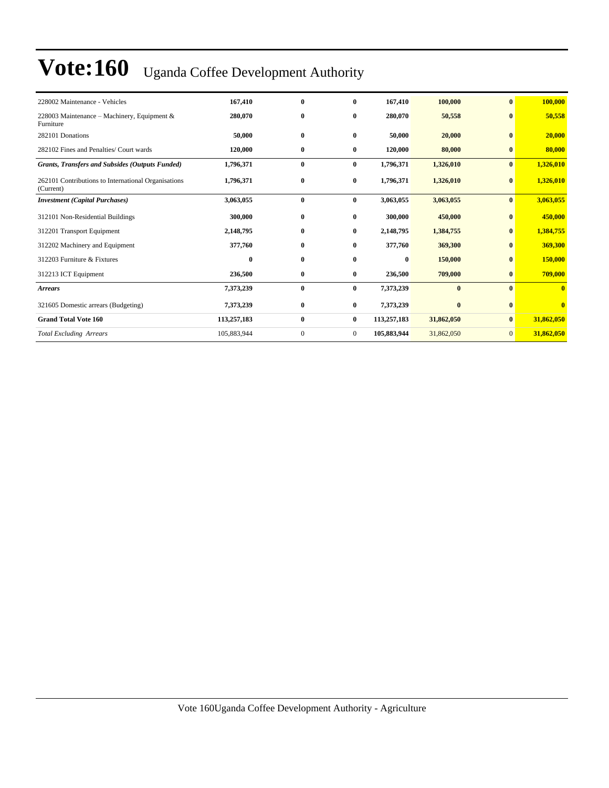| 228002 Maintenance - Vehicles                                    | 167,410     | $\mathbf{0}$ | $\mathbf{0}$   | 167,410     | 100,000    | $\mathbf{0}$   | 100,000      |
|------------------------------------------------------------------|-------------|--------------|----------------|-------------|------------|----------------|--------------|
| 228003 Maintenance – Machinery, Equipment &<br>Furniture         | 280,070     | $\bf{0}$     | $\bf{0}$       | 280,070     | 50,558     | $\bf{0}$       | 50,558       |
| 282101 Donations                                                 | 50,000      | $\bf{0}$     | $\bf{0}$       | 50,000      | 20,000     | $\mathbf{0}$   | 20,000       |
| 282102 Fines and Penalties/ Court wards                          | 120,000     | $\bf{0}$     | $\bf{0}$       | 120,000     | 80,000     | $\bf{0}$       | 80,000       |
| <b>Grants, Transfers and Subsides (Outputs Funded)</b>           | 1,796,371   | $\bf{0}$     | $\bf{0}$       | 1,796,371   | 1,326,010  | $\bf{0}$       | 1,326,010    |
| 262101 Contributions to International Organisations<br>(Current) | 1,796,371   | $\bf{0}$     | $\bf{0}$       | 1,796,371   | 1,326,010  | $\bf{0}$       | 1,326,010    |
| <b>Investment</b> (Capital Purchases)                            | 3,063,055   | $\bf{0}$     | $\bf{0}$       | 3,063,055   | 3,063,055  | $\bf{0}$       | 3,063,055    |
| 312101 Non-Residential Buildings                                 | 300,000     | $\bf{0}$     | $\bf{0}$       | 300,000     | 450,000    | $\bf{0}$       | 450,000      |
| 312201 Transport Equipment                                       | 2,148,795   | $\bf{0}$     | $\bf{0}$       | 2,148,795   | 1,384,755  | $\bf{0}$       | 1,384,755    |
| 312202 Machinery and Equipment                                   | 377,760     | $\bf{0}$     | $\bf{0}$       | 377,760     | 369,300    | $\bf{0}$       | 369,300      |
| 312203 Furniture & Fixtures                                      | $\bf{0}$    | $\bf{0}$     | $\bf{0}$       | $\bf{0}$    | 150,000    | $\bf{0}$       | 150,000      |
| 312213 ICT Equipment                                             | 236,500     | $\bf{0}$     | $\bf{0}$       | 236,500     | 709,000    | $\mathbf{0}$   | 709,000      |
| <b>Arrears</b>                                                   | 7,373,239   | $\bf{0}$     | $\bf{0}$       | 7,373,239   | $\bf{0}$   | $\mathbf{0}$   | $\bf{0}$     |
| 321605 Domestic arrears (Budgeting)                              | 7,373,239   | $\bf{0}$     | $\bf{0}$       | 7,373,239   | $\bf{0}$   | $\bf{0}$       | $\mathbf{0}$ |
| <b>Grand Total Vote 160</b>                                      | 113,257,183 | $\bf{0}$     | $\bf{0}$       | 113,257,183 | 31,862,050 | $\bf{0}$       | 31,862,050   |
| <b>Total Excluding Arrears</b>                                   | 105,883,944 | $\mathbf{0}$ | $\overline{0}$ | 105,883,944 | 31,862,050 | $\overline{0}$ | 31,862,050   |
|                                                                  |             |              |                |             |            |                |              |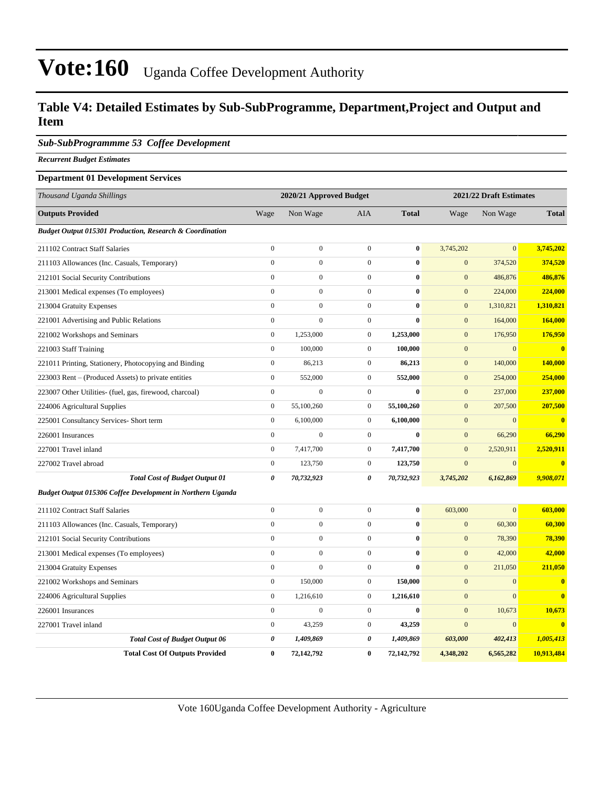### **Table V4: Detailed Estimates by Sub-SubProgramme, Department,Project and Output and Item**

#### *Sub-SubProgrammme 53 Coffee Development*

*Recurrent Budget Estimates*

#### **Department 01 Development Services**

| Thousand Uganda Shillings                                           |                       | 2020/21 Approved Budget |                  |              |                  | 2021/22 Draft Estimates |                         |
|---------------------------------------------------------------------|-----------------------|-------------------------|------------------|--------------|------------------|-------------------------|-------------------------|
| <b>Outputs Provided</b>                                             | Wage                  | Non Wage                | AIA              | <b>Total</b> | Wage             | Non Wage                | <b>Total</b>            |
| <b>Budget Output 015301 Production, Research &amp; Coordination</b> |                       |                         |                  |              |                  |                         |                         |
| 211102 Contract Staff Salaries                                      | $\mathbf{0}$          | $\mathbf{0}$            | $\overline{0}$   | $\bf{0}$     | 3,745,202        | $\overline{0}$          | 3,745,202               |
| 211103 Allowances (Inc. Casuals, Temporary)                         | $\mathbf{0}$          | $\boldsymbol{0}$        | $\overline{0}$   | $\bf{0}$     | $\mathbf{0}$     | 374,520                 | 374,520                 |
| 212101 Social Security Contributions                                | $\mathbf{0}$          | $\overline{0}$          | $\overline{0}$   | $\bf{0}$     | $\mathbf{0}$     | 486,876                 | 486,876                 |
| 213001 Medical expenses (To employees)                              | $\mathbf{0}$          | $\mathbf{0}$            | $\overline{0}$   | $\bf{0}$     | $\mathbf{0}$     | 224,000                 | 224,000                 |
| 213004 Gratuity Expenses                                            | $\Omega$              | $\mathbf{0}$            | $\overline{0}$   | $\bf{0}$     | $\mathbf{0}$     | 1,310,821               | 1,310,821               |
| 221001 Advertising and Public Relations                             | $\boldsymbol{0}$      | $\boldsymbol{0}$        | $\overline{0}$   | $\bf{0}$     | $\mathbf{0}$     | 164,000                 | 164,000                 |
| 221002 Workshops and Seminars                                       | $\mathbf{0}$          | 1,253,000               | $\overline{0}$   | 1,253,000    | $\mathbf{0}$     | 176,950                 | 176,950                 |
| 221003 Staff Training                                               | $\boldsymbol{0}$      | 100,000                 | $\boldsymbol{0}$ | 100,000      | $\mathbf{0}$     | $\mathbf{0}$            | $\bf{0}$                |
| 221011 Printing, Stationery, Photocopying and Binding               | $\boldsymbol{0}$      | 86,213                  | $\overline{0}$   | 86,213       | $\boldsymbol{0}$ | 140,000                 | 140,000                 |
| 223003 Rent – (Produced Assets) to private entities                 | $\mathbf{0}$          | 552,000                 | $\overline{0}$   | 552,000      | $\mathbf{0}$     | 254,000                 | 254,000                 |
| 223007 Other Utilities- (fuel, gas, firewood, charcoal)             | $\mathbf{0}$          | 0                       | $\boldsymbol{0}$ | $\bf{0}$     | $\mathbf{0}$     | 237,000                 | 237,000                 |
| 224006 Agricultural Supplies                                        | $\mathbf{0}$          | 55,100,260              | $\overline{0}$   | 55,100,260   | $\mathbf{0}$     | 207,500                 | 207,500                 |
| 225001 Consultancy Services- Short term                             | $\mathbf{0}$          | 6,100,000               | $\overline{0}$   | 6,100,000    | $\mathbf{0}$     | $\mathbf{0}$            | $\overline{0}$          |
| 226001 Insurances                                                   | $\mathbf{0}$          | $\overline{0}$          | $\overline{0}$   | $\bf{0}$     | $\mathbf{0}$     | 66,290                  | 66,290                  |
| 227001 Travel inland                                                | $\mathbf{0}$          | 7,417,700               | $\mathbf{0}$     | 7,417,700    | $\mathbf{0}$     | 2,520,911               | 2,520,911               |
| 227002 Travel abroad                                                | $\mathbf{0}$          | 123,750                 | $\mathbf{0}$     | 123,750      | $\mathbf{0}$     | $\mathbf{0}$            | $\bf{0}$                |
| <b>Total Cost of Budget Output 01</b>                               | 0                     | 70,732,923              | 0                | 70,732,923   | 3,745,202        | 6,162,869               | 9,908,071               |
| Budget Output 015306 Coffee Development in Northern Uganda          |                       |                         |                  |              |                  |                         |                         |
| 211102 Contract Staff Salaries                                      | $\mathbf{0}$          | $\boldsymbol{0}$        | $\overline{0}$   | $\bf{0}$     | 603,000          | $\overline{0}$          | 603,000                 |
| 211103 Allowances (Inc. Casuals, Temporary)                         | $\mathbf{0}$          | $\overline{0}$          | $\overline{0}$   | $\bf{0}$     | $\mathbf{0}$     | 60,300                  | 60,300                  |
| 212101 Social Security Contributions                                | $\Omega$              | $\mathbf{0}$            | $\overline{0}$   | $\bf{0}$     | $\mathbf{0}$     | 78,390                  | 78,390                  |
| 213001 Medical expenses (To employees)                              | $\mathbf{0}$          | $\boldsymbol{0}$        | $\overline{0}$   | $\bf{0}$     | $\boldsymbol{0}$ | 42,000                  | 42,000                  |
| 213004 Gratuity Expenses                                            | $\boldsymbol{0}$      | $\boldsymbol{0}$        | $\overline{0}$   | $\bf{0}$     | $\boldsymbol{0}$ | 211,050                 | 211,050                 |
| 221002 Workshops and Seminars                                       | $\boldsymbol{0}$      | 150,000                 | $\overline{0}$   | 150,000      | $\boldsymbol{0}$ | $\mathbf{0}$            | $\bf{0}$                |
| 224006 Agricultural Supplies                                        | $\boldsymbol{0}$      | 1,216,610               | $\overline{0}$   | 1,216,610    | $\boldsymbol{0}$ | $\overline{0}$          | $\overline{\mathbf{0}}$ |
| 226001 Insurances                                                   | $\mathbf{0}$          | $\boldsymbol{0}$        | $\overline{0}$   | $\bf{0}$     | $\mathbf{0}$     | 10,673                  | 10,673                  |
| 227001 Travel inland                                                | $\boldsymbol{0}$      | 43,259                  | $\overline{0}$   | 43,259       | $\mathbf{0}$     | $\mathbf{0}$            | $\overline{0}$          |
| <b>Total Cost of Budget Output 06</b>                               | $\boldsymbol{\theta}$ | 1,409,869               | 0                | 1,409,869    | 603,000          | 402,413                 | 1,005,413               |
| <b>Total Cost Of Outputs Provided</b>                               | $\bf{0}$              | 72,142,792              | $\bf{0}$         | 72,142,792   | 4,348,202        | 6,565,282               | 10,913,484              |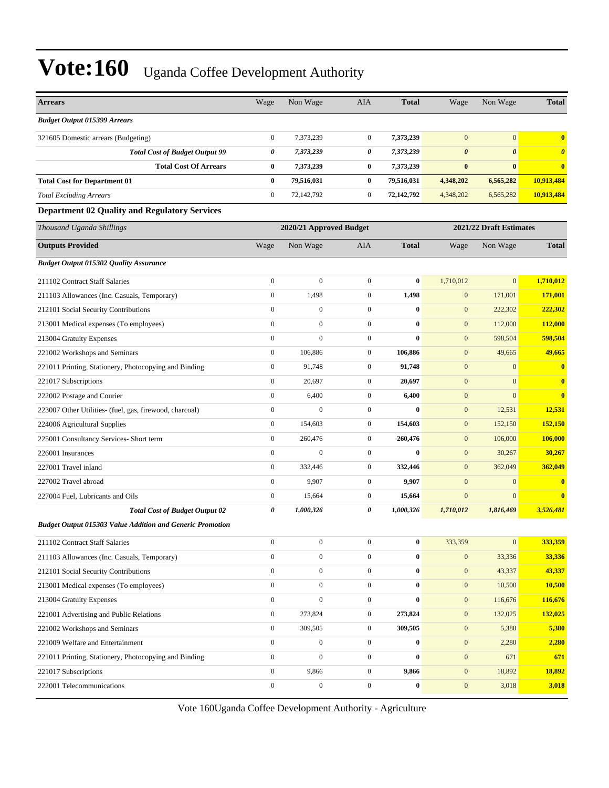| <b>Arrears</b>                                                   | Wage             | Non Wage                | <b>AIA</b>       | <b>Total</b> | Wage                    | Non Wage              | <b>Total</b>          |
|------------------------------------------------------------------|------------------|-------------------------|------------------|--------------|-------------------------|-----------------------|-----------------------|
| <b>Budget Output 015399 Arrears</b>                              |                  |                         |                  |              |                         |                       |                       |
| 321605 Domestic arrears (Budgeting)                              | $\boldsymbol{0}$ | 7,373,239               | $\boldsymbol{0}$ | 7,373,239    | $\overline{0}$          | $\mathbf{0}$          | $\bf{0}$              |
| <b>Total Cost of Budget Output 99</b>                            | 0                | 7,373,239               | 0                | 7,373,239    | $\boldsymbol{\theta}$   | $\boldsymbol{\theta}$ | $\boldsymbol{\theta}$ |
| <b>Total Cost Of Arrears</b>                                     | $\bf{0}$         | 7,373,239               | $\bf{0}$         | 7,373,239    | $\bf{0}$                | $\bf{0}$              | $\bf{0}$              |
| <b>Total Cost for Department 01</b>                              | $\bf{0}$         | 79,516,031              | $\bf{0}$         | 79,516,031   | 4,348,202               | 6,565,282             | 10,913,484            |
| <b>Total Excluding Arrears</b>                                   | $\mathbf{0}$     | 72,142,792              | $\boldsymbol{0}$ | 72,142,792   | 4,348,202               | 6,565,282             | 10,913,484            |
| <b>Department 02 Quality and Regulatory Services</b>             |                  |                         |                  |              |                         |                       |                       |
| Thousand Uganda Shillings                                        |                  | 2020/21 Approved Budget |                  |              | 2021/22 Draft Estimates |                       |                       |
| <b>Outputs Provided</b>                                          | Wage             | Non Wage                | <b>AIA</b>       | <b>Total</b> | Wage                    | Non Wage              | <b>Total</b>          |
| <b>Budget Output 015302 Quality Assurance</b>                    |                  |                         |                  |              |                         |                       |                       |
| 211102 Contract Staff Salaries                                   | $\boldsymbol{0}$ | $\overline{0}$          | $\boldsymbol{0}$ | $\bf{0}$     | 1,710,012               | $\mathbf{0}$          | 1,710,012             |
| 211103 Allowances (Inc. Casuals, Temporary)                      | $\boldsymbol{0}$ | 1,498                   | $\boldsymbol{0}$ | 1,498        | $\mathbf{0}$            | 171,001               | 171,001               |
| 212101 Social Security Contributions                             | $\boldsymbol{0}$ | $\boldsymbol{0}$        | $\boldsymbol{0}$ | $\bf{0}$     | $\mathbf{0}$            | 222,302               | 222,302               |
| 213001 Medical expenses (To employees)                           | $\overline{0}$   | $\mathbf{0}$            | $\mathbf{0}$     | $\bf{0}$     | $\mathbf{0}$            | 112,000               | <b>112,000</b>        |
| 213004 Gratuity Expenses                                         | $\overline{0}$   | $\mathbf{0}$            | $\mathbf{0}$     | $\bf{0}$     | $\mathbf{0}$            | 598,504               | 598,504               |
| 221002 Workshops and Seminars                                    | $\overline{0}$   | 106,886                 | $\boldsymbol{0}$ | 106,886      | $\mathbf{0}$            | 49,665                | 49,665                |
| 221011 Printing, Stationery, Photocopying and Binding            | $\boldsymbol{0}$ | 91,748                  | $\boldsymbol{0}$ | 91,748       | $\mathbf{0}$            | $\mathbf{0}$          | $\bf{0}$              |
| 221017 Subscriptions                                             | $\boldsymbol{0}$ | 20,697                  | $\boldsymbol{0}$ | 20,697       | $\mathbf{0}$            | $\mathbf{0}$          | $\bf{0}$              |
| 222002 Postage and Courier                                       | $\mathbf{0}$     | 6,400                   | $\boldsymbol{0}$ | 6,400        | $\mathbf{0}$            | $\overline{0}$        | $\bf{0}$              |
| 223007 Other Utilities- (fuel, gas, firewood, charcoal)          | $\mathbf{0}$     | $\mathbf{0}$            | $\boldsymbol{0}$ | $\mathbf{0}$ | $\mathbf{0}$            | 12,531                | 12,531                |
| 224006 Agricultural Supplies                                     | $\overline{0}$   | 154,603                 | $\boldsymbol{0}$ | 154,603      | $\mathbf{0}$            | 152,150               | 152,150               |
| 225001 Consultancy Services- Short term                          | $\boldsymbol{0}$ | 260,476                 | $\boldsymbol{0}$ | 260,476      | $\mathbf{0}$            | 106,000               | 106,000               |
| 226001 Insurances                                                | $\boldsymbol{0}$ | $\boldsymbol{0}$        | $\boldsymbol{0}$ | $\bf{0}$     | $\mathbf{0}$            | 30,267                | 30,267                |
| 227001 Travel inland                                             | $\overline{0}$   | 332,446                 | $\boldsymbol{0}$ | 332,446      | $\mathbf{0}$            | 362,049               | 362,049               |
| 227002 Travel abroad                                             | $\mathbf{0}$     | 9,907                   | $\boldsymbol{0}$ | 9,907        | $\mathbf{0}$            | $\mathbf{0}$          | $\bf{0}$              |
| 227004 Fuel, Lubricants and Oils                                 | $\boldsymbol{0}$ | 15,664                  | $\boldsymbol{0}$ | 15,664       | $\mathbf{0}$            | $\mathbf{0}$          | $\bf{0}$              |
| <b>Total Cost of Budget Output 02</b>                            | 0                | 1,000,326               | 0                | 1,000,326    | 1,710,012               | 1,816,469             | 3,526,481             |
| <b>Budget Output 015303 Value Addition and Generic Promotion</b> |                  |                         |                  |              |                         |                       |                       |
| 211102 Contract Staff Salaries                                   | $\boldsymbol{0}$ | $\boldsymbol{0}$        | $\boldsymbol{0}$ | $\bf{0}$     | 333,359                 | $\mathbf{0}$          | 333,359               |
| 211103 Allowances (Inc. Casuals, Temporary)                      | $\overline{0}$   | $\boldsymbol{0}$        | $\overline{0}$   | $\bf{0}$     | $\boldsymbol{0}$        | 33,336                | 33,336                |
| 212101 Social Security Contributions                             | $\mathbf{0}$     | $\boldsymbol{0}$        | $\boldsymbol{0}$ | $\bf{0}$     | $\boldsymbol{0}$        | 43,337                | 43,337                |
| 213001 Medical expenses (To employees)                           | $\overline{0}$   | $\boldsymbol{0}$        | $\overline{0}$   | $\bf{0}$     | $\mathbf{0}$            | 10,500                | 10,500                |
| 213004 Gratuity Expenses                                         | $\boldsymbol{0}$ | $\boldsymbol{0}$        | $\boldsymbol{0}$ | $\bf{0}$     | $\mathbf{0}$            | 116,676               | 116,676               |
| 221001 Advertising and Public Relations                          | $\boldsymbol{0}$ | 273,824                 | $\boldsymbol{0}$ | 273,824      | $\mathbf{0}$            | 132,025               | 132,025               |
| 221002 Workshops and Seminars                                    | $\mathbf{0}$     | 309,505                 | $\boldsymbol{0}$ | 309,505      | $\boldsymbol{0}$        | 5,380                 | 5,380                 |
| 221009 Welfare and Entertainment                                 | $\mathbf{0}$     | $\boldsymbol{0}$        | $\boldsymbol{0}$ | $\bf{0}$     | $\mathbf{0}$            | 2,280                 | 2,280                 |
| 221011 Printing, Stationery, Photocopying and Binding            | $\overline{0}$   | $\boldsymbol{0}$        | $\overline{0}$   | $\bf{0}$     | $\mathbf{0}$            | 671                   | 671                   |
| 221017 Subscriptions                                             | $\boldsymbol{0}$ | 9,866                   | $\boldsymbol{0}$ | 9,866        | $\mathbf{0}$            | 18,892                | 18,892                |
| 222001 Telecommunications                                        | $\boldsymbol{0}$ | $\boldsymbol{0}$        | $\boldsymbol{0}$ | $\bf{0}$     | $\mathbf{0}$            | 3,018                 | 3,018                 |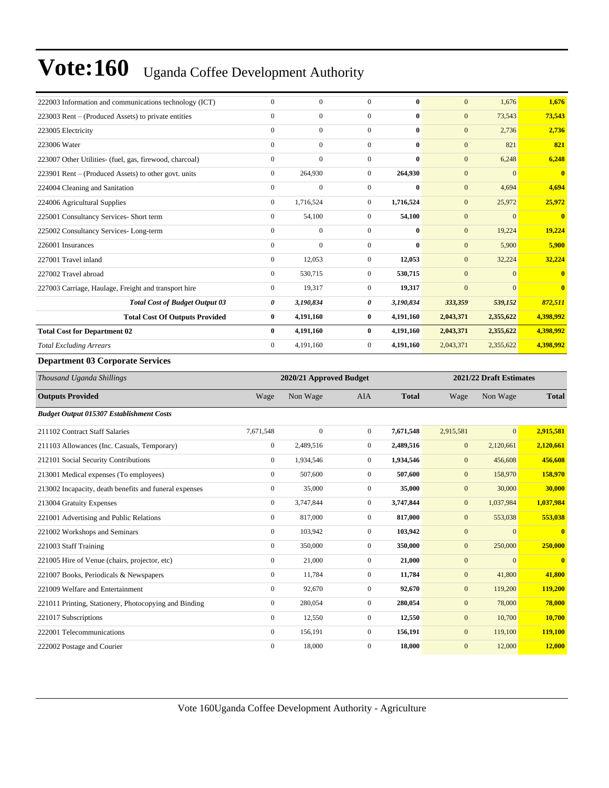| 222003 Information and communications technology (ICT)  | $\mathbf{0}$          | $\overline{0}$          | $\mathbf{0}$     | $\bf{0}$     | $\mathbf{0}$     | 1,676                   | 1,676        |  |
|---------------------------------------------------------|-----------------------|-------------------------|------------------|--------------|------------------|-------------------------|--------------|--|
| 223003 Rent – (Produced Assets) to private entities     | $\boldsymbol{0}$      | $\mathbf{0}$            | $\boldsymbol{0}$ | $\bf{0}$     | $\mathbf{0}$     | 73,543                  | 73,543       |  |
| 223005 Electricity                                      | $\mathbf{0}$          | $\overline{0}$          | $\boldsymbol{0}$ | $\bf{0}$     | $\mathbf{0}$     | 2,736                   | 2,736        |  |
| 223006 Water                                            | $\boldsymbol{0}$      | $\boldsymbol{0}$        | $\overline{0}$   | $\bf{0}$     | $\mathbf{0}$     | 821                     | 821          |  |
| 223007 Other Utilities- (fuel, gas, firewood, charcoal) | $\boldsymbol{0}$      | $\boldsymbol{0}$        | $\overline{0}$   | $\bf{0}$     | $\mathbf{0}$     | 6,248                   | 6,248        |  |
| 223901 Rent – (Produced Assets) to other govt. units    | $\boldsymbol{0}$      | 264,930                 | $\overline{0}$   | 264,930      | $\mathbf{0}$     | $\overline{0}$          | $\bf{0}$     |  |
| 224004 Cleaning and Sanitation                          | $\mathbf{0}$          | $\boldsymbol{0}$        | $\boldsymbol{0}$ | $\bf{0}$     | $\mathbf{0}$     | 4,694                   | 4,694        |  |
| 224006 Agricultural Supplies                            | $\boldsymbol{0}$      | 1,716,524               | $\overline{0}$   | 1,716,524    | $\mathbf{0}$     | 25,972                  | 25,972       |  |
| 225001 Consultancy Services- Short term                 | $\boldsymbol{0}$      | 54,100                  | $\boldsymbol{0}$ | 54,100       | $\mathbf{0}$     | $\overline{0}$          | $\bf{0}$     |  |
| 225002 Consultancy Services-Long-term                   | $\boldsymbol{0}$      | $\boldsymbol{0}$        | $\boldsymbol{0}$ | $\bf{0}$     | $\mathbf{0}$     | 19,224                  | 19,224       |  |
| 226001 Insurances                                       | $\boldsymbol{0}$      | $\mathbf{0}$            | $\boldsymbol{0}$ | $\bf{0}$     | $\boldsymbol{0}$ | 5,900                   | 5,900        |  |
| 227001 Travel inland                                    | $\boldsymbol{0}$      | 12,053                  | $\overline{0}$   | 12,053       | $\mathbf{0}$     | 32,224                  | 32,224       |  |
| 227002 Travel abroad                                    | $\boldsymbol{0}$      | 530,715                 | $\overline{0}$   | 530,715      | $\mathbf{0}$     | $\overline{0}$          | $\bf{0}$     |  |
| 227003 Carriage, Haulage, Freight and transport hire    | $\boldsymbol{0}$      | 19,317                  | $\overline{0}$   | 19,317       | $\mathbf{0}$     | $\overline{0}$          | $\bf{0}$     |  |
| <b>Total Cost of Budget Output 03</b>                   | $\boldsymbol{\theta}$ | 3,190,834               | 0                | 3,190,834    | 333,359          | 539,152                 | 872,511      |  |
| <b>Total Cost Of Outputs Provided</b>                   | $\bf{0}$              | 4,191,160               | $\bf{0}$         | 4,191,160    | 2,043,371        | 2,355,622               | 4,398,992    |  |
| <b>Total Cost for Department 02</b>                     | $\bf{0}$              | 4,191,160               | $\bf{0}$         | 4,191,160    | 2,043,371        | 2,355,622               | 4,398,992    |  |
| <b>Total Excluding Arrears</b>                          | $\boldsymbol{0}$      | 4,191,160               | $\boldsymbol{0}$ | 4,191,160    | 2,043,371        | 2,355,622               | 4,398,992    |  |
| <b>Department 03 Corporate Services</b>                 |                       |                         |                  |              |                  |                         |              |  |
| Thousand Uganda Shillings                               |                       | 2020/21 Approved Budget |                  |              |                  | 2021/22 Draft Estimates |              |  |
| <b>Outputs Provided</b>                                 | Wage                  | Non Wage                | AIA              | <b>Total</b> | Wage             | Non Wage                | <b>Total</b> |  |
| <b>Budget Output 015307 Establishment Costs</b>         |                       |                         |                  |              |                  |                         |              |  |
| 211102 Contract Staff Salaries                          | 7,671,548             | $\overline{0}$          | $\overline{0}$   | 7,671,548    | 2,915,581        | $\Omega$                | 2,915,581    |  |
| 211103 Allowances (Inc. Casuals, Temporary)             | $\mathbf{0}$          | 2,489,516               | $\overline{0}$   | 2,489,516    | $\mathbf{0}$     | 2,120,661               | 2,120,661    |  |
| 212101 Social Security Contributions                    | $\boldsymbol{0}$      | 1,934,546               | $\mathbf{0}$     | 1,934,546    | $\mathbf{0}$     | 456,608                 | 456,608      |  |
| 213001 Medical expenses (To employees)                  | $\mathbf{0}$          | 507,600                 | $\overline{0}$   | 507,600      | $\mathbf{0}$     | 158,970                 | 158,970      |  |
| 213002 Incapacity, death benefits and funeral expenses  | $\boldsymbol{0}$      | 35,000                  | $\overline{0}$   | 35,000       | $\mathbf{0}$     | 30,000                  | 30,000       |  |
| 213004 Gratuity Expenses                                | $\boldsymbol{0}$      | 3,747,844               | $\overline{0}$   | 3,747,844    | $\mathbf{0}$     | 1,037,984               | 1,037,984    |  |
| 221001 Advertising and Public Relations                 | $\boldsymbol{0}$      | 817,000                 | $\overline{0}$   | 817,000      | $\mathbf{0}$     | 553,038                 | 553,038      |  |
| 221002 Workshops and Seminars                           | $\mathbf{0}$          | 103,942                 | $\overline{0}$   | 103,942      | $\mathbf{0}$     | $\overline{0}$          | $\bf{0}$     |  |
|                                                         |                       |                         |                  |              |                  |                         |              |  |
| 221003 Staff Training                                   | $\mathbf{0}$          | 350,000                 | $\mathbf{0}$     | 350,000      | $\boldsymbol{0}$ | 250,000                 | 250,000      |  |
| 221005 Hire of Venue (chairs, projector, etc)           | $\mathbf{0}$          | 21,000                  | $\overline{0}$   | 21,000       | $\boldsymbol{0}$ | $\overline{0}$          | $\bf{0}$     |  |
| 221007 Books, Periodicals & Newspapers                  | $\boldsymbol{0}$      | 11,784                  | $\boldsymbol{0}$ | 11,784       | $\mathbf{0}$     | 41,800                  | 41,800       |  |
| 221009 Welfare and Entertainment                        | $\boldsymbol{0}$      | 92,670                  | $\overline{0}$   | 92,670       | $\mathbf{0}$     | 119,200                 | 119,200      |  |

221017 Subscriptions 0 12,550 0 **12,550** 0 10,700 **10,700** 222001 Telecommunications 0 156,191 0 **156,191** 0 119,100 **119,100** 222002 Postage and Courier 0 18,000 0 **18,000** 0 12,000 **12,000**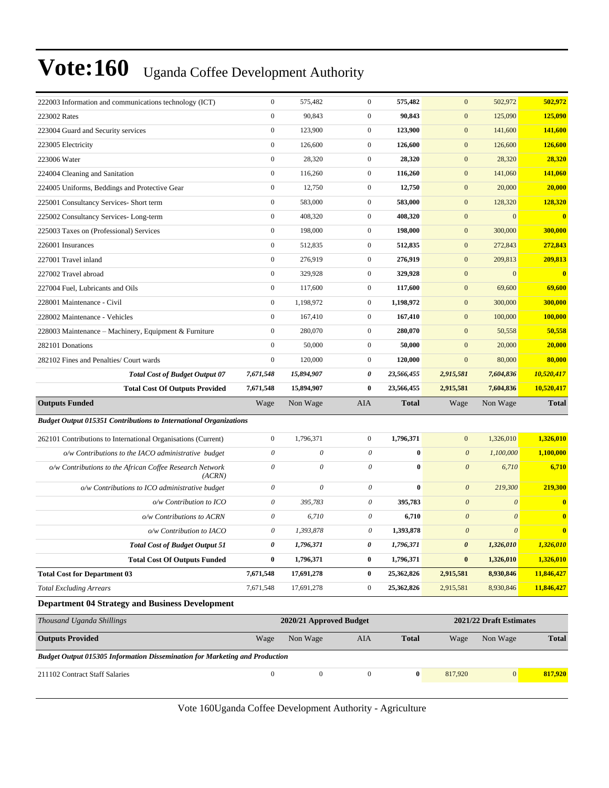| 222003 Information and communications technology (ICT)                             | $\boldsymbol{0}$          | 575,482                   | $\mathbf{0}$     | 575,482      | $\boldsymbol{0}$      | 502,972                 | 502,972                 |
|------------------------------------------------------------------------------------|---------------------------|---------------------------|------------------|--------------|-----------------------|-------------------------|-------------------------|
| 223002 Rates                                                                       | $\boldsymbol{0}$          | 90,843                    | $\mathbf{0}$     | 90,843       | $\boldsymbol{0}$      | 125,090                 | 125,090                 |
| 223004 Guard and Security services                                                 | $\boldsymbol{0}$          | 123,900                   | $\mathbf{0}$     | 123,900      | $\mathbf{0}$          | 141,600                 | 141,600                 |
| 223005 Electricity                                                                 | $\boldsymbol{0}$          | 126,600                   | $\mathbf{0}$     | 126,600      | $\boldsymbol{0}$      | 126,600                 | 126,600                 |
| 223006 Water                                                                       | $\boldsymbol{0}$          | 28,320                    | $\mathbf{0}$     | 28,320       | $\boldsymbol{0}$      | 28,320                  | 28,320                  |
| 224004 Cleaning and Sanitation                                                     | $\boldsymbol{0}$          | 116,260                   | $\mathbf{0}$     | 116,260      | $\mathbf{0}$          | 141,060                 | 141,060                 |
| 224005 Uniforms, Beddings and Protective Gear                                      | $\boldsymbol{0}$          | 12,750                    | $\mathbf{0}$     | 12,750       | $\boldsymbol{0}$      | 20,000                  | 20,000                  |
| 225001 Consultancy Services- Short term                                            | $\boldsymbol{0}$          | 583,000                   | $\mathbf{0}$     | 583,000      | $\mathbf{0}$          | 128,320                 | 128,320                 |
| 225002 Consultancy Services-Long-term                                              | $\boldsymbol{0}$          | 408,320                   | $\mathbf{0}$     | 408,320      | $\boldsymbol{0}$      | $\mathbf{0}$            | $\overline{\mathbf{0}}$ |
| 225003 Taxes on (Professional) Services                                            | $\boldsymbol{0}$          | 198,000                   | $\mathbf{0}$     | 198,000      | $\boldsymbol{0}$      | 300,000                 | 300,000                 |
| 226001 Insurances                                                                  | $\boldsymbol{0}$          | 512,835                   | $\mathbf{0}$     | 512,835      | $\mathbf{0}$          | 272,843                 | 272,843                 |
| 227001 Travel inland                                                               | $\boldsymbol{0}$          | 276,919                   | $\mathbf{0}$     | 276,919      | $\mathbf{0}$          | 209,813                 | 209,813                 |
| 227002 Travel abroad                                                               | $\boldsymbol{0}$          | 329,928                   | $\mathbf{0}$     | 329,928      | $\boldsymbol{0}$      | $\mathbf{0}$            | $\overline{\mathbf{0}}$ |
| 227004 Fuel, Lubricants and Oils                                                   | $\boldsymbol{0}$          | 117,600                   | $\mathbf{0}$     | 117,600      | $\boldsymbol{0}$      | 69,600                  | 69,600                  |
| 228001 Maintenance - Civil                                                         | $\boldsymbol{0}$          | 1,198,972                 | $\mathbf{0}$     | 1,198,972    | $\boldsymbol{0}$      | 300,000                 | 300,000                 |
| 228002 Maintenance - Vehicles                                                      | $\boldsymbol{0}$          | 167,410                   | $\mathbf{0}$     | 167,410      | $\mathbf{0}$          | 100,000                 | 100,000                 |
| 228003 Maintenance - Machinery, Equipment & Furniture                              | $\boldsymbol{0}$          | 280,070                   | $\mathbf{0}$     | 280,070      | $\boldsymbol{0}$      | 50,558                  | 50,558                  |
| 282101 Donations                                                                   | $\boldsymbol{0}$          | 50,000                    | $\mathbf{0}$     | 50,000       | $\boldsymbol{0}$      | 20,000                  | 20,000                  |
| 282102 Fines and Penalties/ Court wards                                            | $\boldsymbol{0}$          | 120,000                   | $\mathbf{0}$     | 120,000      | $\boldsymbol{0}$      | 80,000                  | 80,000                  |
| <b>Total Cost of Budget Output 07</b>                                              | 7,671,548                 | 15,894,907                | 0                | 23,566,455   | 2,915,581             | 7,604,836               | 10,520,417              |
| <b>Total Cost Of Outputs Provided</b>                                              | 7,671,548                 | 15,894,907                | $\bf{0}$         | 23,566,455   | 2,915,581             | 7,604,836               | 10,520,417              |
|                                                                                    |                           |                           |                  |              |                       |                         |                         |
| <b>Outputs Funded</b>                                                              | Wage                      | Non Wage                  | <b>AIA</b>       | <b>Total</b> | Wage                  | Non Wage                | <b>Total</b>            |
| <b>Budget Output 015351 Contributions to International Organizations</b>           |                           |                           |                  |              |                       |                         |                         |
| 262101 Contributions to International Organisations (Current)                      | $\boldsymbol{0}$          | 1,796,371                 | $\mathbf{0}$     | 1,796,371    | $\boldsymbol{0}$      | 1,326,010               | 1,326,010               |
| o/w Contributions to the IACO administrative budget                                | $\boldsymbol{\theta}$     | $\boldsymbol{\mathit{0}}$ | 0                | $\bf{0}$     | $\boldsymbol{0}$      | 1,100,000               | 1,100,000               |
| o/w Contributions to the African Coffee Research Network<br>(ACRN)                 | $\boldsymbol{\mathit{0}}$ | 0                         | 0                | $\bf{0}$     | $\boldsymbol{0}$      | 6,710                   | 6,710                   |
| o/w Contributions to ICO administrative budget                                     | $\boldsymbol{\mathit{0}}$ | $\theta$                  | $\theta$         | $\bf{0}$     | $\boldsymbol{\theta}$ | 219,300                 | 219,300                 |
| o/w Contribution to ICO                                                            | $\boldsymbol{\mathit{0}}$ | 395,783                   | 0                | 395,783      | $\boldsymbol{\theta}$ | $\boldsymbol{\theta}$   | $\bf{0}$                |
| o/w Contributions to ACRN                                                          | $\theta$                  | 6,710                     | 0                | 6,710        | $\boldsymbol{\theta}$ | $\theta$                | $\bf{0}$                |
| o/w Contribution to IACO                                                           | 0                         | 1,393,878                 | 0                | 1,393,878    | $\boldsymbol{\theta}$ | $\theta$                | $\bf{0}$                |
| <b>Total Cost of Budget Output 51</b>                                              | 0                         | 1,796,371                 | $\pmb{\theta}$   | 1,796,371    | 0                     | 1,326,010               | 1,326,010               |
| <b>Total Cost Of Outputs Funded</b>                                                | $\bf{0}$                  | 1,796,371                 | $\bf{0}$         | 1,796,371    | $\bf{0}$              | 1,326,010               | 1,326,010               |
| <b>Total Cost for Department 03</b>                                                | 7,671,548                 | 17,691,278                | $\bf{0}$         | 25,362,826   | 2,915,581             | 8,930,846               | 11,846,427              |
| <b>Total Excluding Arrears</b>                                                     | 7,671,548                 | 17,691,278                | $\boldsymbol{0}$ | 25,362,826   | 2,915,581             | 8,930,846               | 11,846,427              |
| <b>Department 04 Strategy and Business Development</b>                             |                           |                           |                  |              |                       |                         |                         |
| Thousand Uganda Shillings                                                          |                           | 2020/21 Approved Budget   |                  |              |                       | 2021/22 Draft Estimates |                         |
| <b>Outputs Provided</b>                                                            | Wage                      | Non Wage                  | AIA              | <b>Total</b> | Wage                  | Non Wage                | <b>Total</b>            |
| <b>Budget Output 015305 Information Dissemination for Marketing and Production</b> |                           |                           |                  |              |                       |                         |                         |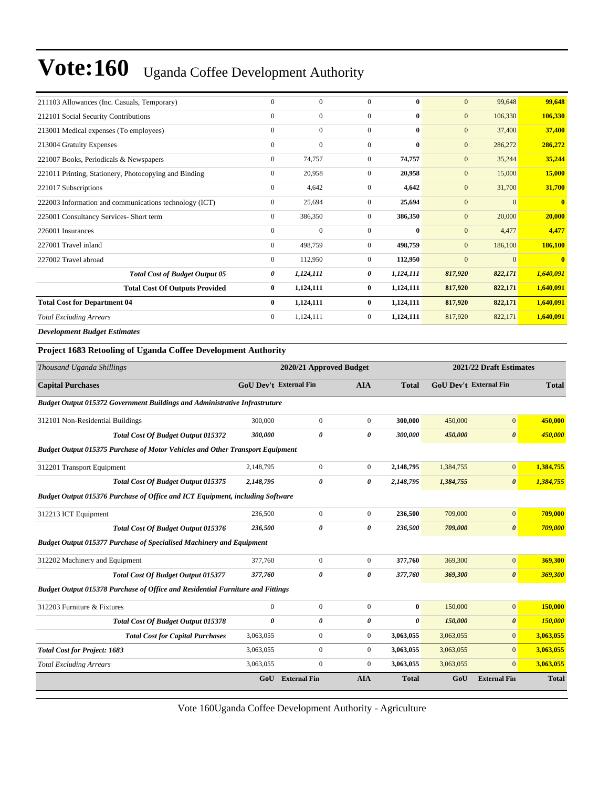| 211103 Allowances (Inc. Casuals, Temporary)            | $\mathbf{0}$     | $\mathbf{0}$     | $\mathbf{0}$   | $\bf{0}$     | $\mathbf{0}$     | 99,648   | 99,648         |
|--------------------------------------------------------|------------------|------------------|----------------|--------------|------------------|----------|----------------|
| 212101 Social Security Contributions                   | $\mathbf{0}$     | $\boldsymbol{0}$ | $\overline{0}$ | $\bf{0}$     | $\mathbf{0}$     | 106,330  | 106,330        |
| 213001 Medical expenses (To employees)                 | $\boldsymbol{0}$ | $\boldsymbol{0}$ | $\mathbf{0}$   | $\bf{0}$     | $\mathbf{0}$     | 37,400   | 37,400         |
| 213004 Gratuity Expenses                               | $\mathbf{0}$     | $\mathbf{0}$     | $\mathbf{0}$   | $\mathbf{0}$ | $\mathbf{0}$     | 286,272  | 286,272        |
| 221007 Books, Periodicals & Newspapers                 | $\mathbf{0}$     | 74,757           | $\mathbf{0}$   | 74,757       | $\mathbf{0}$     | 35,244   | 35,244         |
| 221011 Printing, Stationery, Photocopying and Binding  | $\mathbf{0}$     | 20,958           | $\mathbf{0}$   | 20,958       | $\mathbf{0}$     | 15,000   | 15,000         |
| 221017 Subscriptions                                   | $\mathbf{0}$     | 4,642            | $\mathbf{0}$   | 4,642        | $\mathbf{0}$     | 31,700   | 31,700         |
| 222003 Information and communications technology (ICT) | $\mathbf{0}$     | 25,694           | $\overline{0}$ | 25,694       | $\boldsymbol{0}$ | $\Omega$ | $\overline{0}$ |
| 225001 Consultancy Services- Short term                | $\mathbf{0}$     | 386,350          | $\overline{0}$ | 386,350      | $\mathbf{0}$     | 20,000   | 20,000         |
| 226001 Insurances                                      | $\mathbf{0}$     | $\mathbf{0}$     | $\mathbf{0}$   | $\bf{0}$     | $\mathbf{0}$     | 4,477    | 4,477          |
| 227001 Travel inland                                   | $\mathbf{0}$     | 498,759          | $\Omega$       | 498,759      | $\mathbf{0}$     | 186,100  | 186,100        |
| 227002 Travel abroad                                   | $\overline{0}$   | 112,950          | $\overline{0}$ | 112,950      | $\mathbf{0}$     | $\Omega$ | $\mathbf{0}$   |
| <b>Total Cost of Budget Output 05</b>                  | 0                | 1,124,111        | 0              | 1,124,111    | 817,920          | 822,171  | 1,640,091      |
| <b>Total Cost Of Outputs Provided</b>                  | $\bf{0}$         | 1,124,111        | $\bf{0}$       | 1,124,111    | 817,920          | 822,171  | 1,640,091      |
| <b>Total Cost for Department 04</b>                    | $\bf{0}$         | 1,124,111        | $\bf{0}$       | 1,124,111    | 817,920          | 822,171  | 1,640,091      |
| <b>Total Excluding Arrears</b>                         | $\mathbf{0}$     | 1,124,111        | $\overline{0}$ | 1,124,111    | 817,920          | 822,171  | 1,640,091      |
| <b>Development Budget Estimates</b>                    |                  |                  |                |              |                  |          |                |

#### **Project 1683 Retooling of Uganda Coffee Development Authority**

| Thousand Uganda Shillings                                                            |                               | 2020/21 Approved Budget |                       |                       |           | 2021/22 Draft Estimates       |              |  |
|--------------------------------------------------------------------------------------|-------------------------------|-------------------------|-----------------------|-----------------------|-----------|-------------------------------|--------------|--|
| <b>Capital Purchases</b>                                                             | <b>GoU Dev't External Fin</b> |                         | <b>AIA</b>            | <b>Total</b>          |           | <b>GoU</b> Dev't External Fin | <b>Total</b> |  |
| <b>Budget Output 015372 Government Buildings and Administrative Infrastruture</b>    |                               |                         |                       |                       |           |                               |              |  |
| 312101 Non-Residential Buildings                                                     | 300,000                       | $\boldsymbol{0}$        | $\boldsymbol{0}$      | 300,000               | 450,000   | $\mathbf{0}$                  | 450,000      |  |
| <b>Total Cost Of Budget Output 015372</b>                                            | 300,000                       | 0                       | $\theta$              | 300,000               | 450,000   | $\boldsymbol{\theta}$         | 450,000      |  |
| <b>Budget Output 015375 Purchase of Motor Vehicles and Other Transport Equipment</b> |                               |                         |                       |                       |           |                               |              |  |
| 312201 Transport Equipment                                                           | 2,148,795                     | $\overline{0}$          | $\overline{0}$        | 2,148,795             | 1,384,755 | $\mathbf{0}$                  | 1,384,755    |  |
| <b>Total Cost Of Budget Output 015375</b>                                            | 2,148,795                     | 0                       | 0                     | 2,148,795             | 1,384,755 | $\boldsymbol{\theta}$         | 1,384,755    |  |
| <b>Budget Output 015376 Purchase of Office and ICT Equipment, including Software</b> |                               |                         |                       |                       |           |                               |              |  |
| 312213 ICT Equipment                                                                 | 236,500                       | $\overline{0}$          | $\mathbf{0}$          | 236,500               | 709,000   | $\mathbf{0}$                  | 709,000      |  |
| <b>Total Cost Of Budget Output 015376</b>                                            | 236,500                       | 0                       | 0                     | 236,500               | 709,000   | $\boldsymbol{\theta}$         | 709,000      |  |
| <b>Budget Output 015377 Purchase of Specialised Machinery and Equipment</b>          |                               |                         |                       |                       |           |                               |              |  |
| 312202 Machinery and Equipment                                                       | 377,760                       | $\boldsymbol{0}$        | $\overline{0}$        | 377,760               | 369,300   | $\mathbf{0}$                  | 369,300      |  |
| <b>Total Cost Of Budget Output 015377</b>                                            | 377,760                       | 0                       | 0                     | 377,760               | 369,300   | $\boldsymbol{\theta}$         | 369,300      |  |
| Budget Output 015378 Purchase of Office and Residential Furniture and Fittings       |                               |                         |                       |                       |           |                               |              |  |
| 312203 Furniture & Fixtures                                                          | $\mathbf{0}$                  | $\overline{0}$          | $\overline{0}$        | $\bf{0}$              | 150,000   | $\mathbf{0}$                  | 150,000      |  |
| <b>Total Cost Of Budget Output 015378</b>                                            | 0                             | $\theta$                | $\boldsymbol{\theta}$ | $\boldsymbol{\theta}$ | 150,000   | $\boldsymbol{\theta}$         | 150,000      |  |
| <b>Total Cost for Capital Purchases</b>                                              | 3,063,055                     | $\boldsymbol{0}$        | $\boldsymbol{0}$      | 3,063,055             | 3,063,055 | $\overline{0}$                | 3,063,055    |  |
| <b>Total Cost for Project: 1683</b>                                                  | 3,063,055                     | $\overline{0}$          | $\overline{0}$        | 3,063,055             | 3,063,055 | $\overline{0}$                | 3,063,055    |  |
| <b>Total Excluding Arrears</b>                                                       | 3,063,055                     | $\overline{0}$          | $\Omega$              | 3,063,055             | 3,063,055 | $\Omega$                      | 3,063,055    |  |
|                                                                                      | GoU                           | <b>External Fin</b>     | <b>AIA</b>            | <b>Total</b>          | GoU       | <b>External Fin</b>           | <b>Total</b> |  |